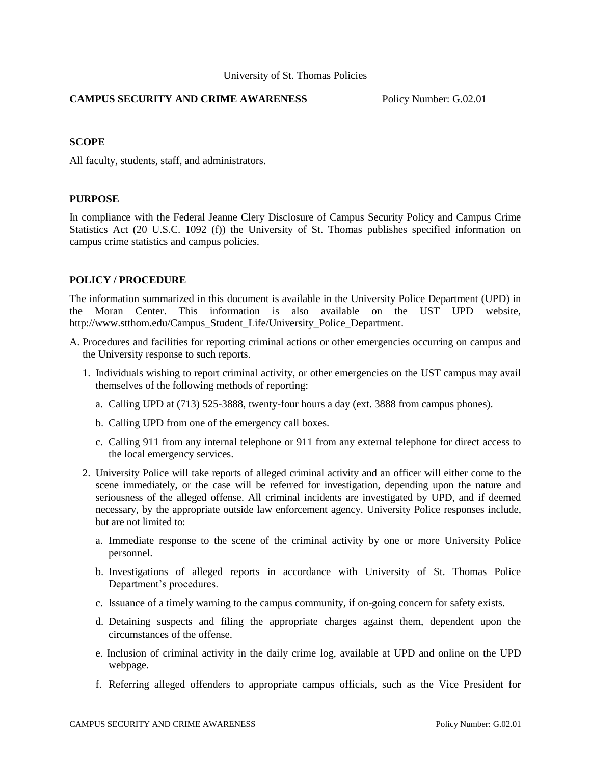## **CAMPUS SECURITY AND CRIME AWARENESS** Policy Number: G.02.01

## **SCOPE**

All faculty, students, staff, and administrators.

## **PURPOSE**

In compliance with the Federal Jeanne Clery Disclosure of Campus Security Policy and Campus Crime Statistics Act (20 U.S.C. 1092 (f)) the University of St. Thomas publishes specified information on campus crime statistics and campus policies.

## **POLICY / PROCEDURE**

The information summarized in this document is available in the University Police Department (UPD) in the Moran Center. This information is also available on the UST UPD website, [http://www.stthom.edu/Campus\\_Student\\_Life/University\\_Police\\_Department.](http://www.stthom.edu/Campus_Student_Life/University_Police_Department)

- A. Procedures and facilities for reporting criminal actions or other emergencies occurring on campus and the University response to such reports.
	- 1. Individuals wishing to report criminal activity, or other emergencies on the UST campus may avail themselves of the following methods of reporting:
		- a. Calling UPD at (713) 525-3888, twenty-four hours a day (ext. 3888 from campus phones).
		- b. Calling UPD from one of the emergency call boxes.
		- c. Calling 911 from any internal telephone or 911 from any external telephone for direct access to the local emergency services.
	- 2. University Police will take reports of alleged criminal activity and an officer will either come to the scene immediately, or the case will be referred for investigation, depending upon the nature and seriousness of the alleged offense. All criminal incidents are investigated by UPD, and if deemed necessary, by the appropriate outside law enforcement agency. University Police responses include, but are not limited to:
		- a. Immediate response to the scene of the criminal activity by one or more University Police personnel.
		- b. Investigations of alleged reports in accordance with University of St. Thomas Police Department's procedures.
		- c. Issuance of a timely warning to the campus community, if on-going concern for safety exists.
		- d. Detaining suspects and filing the appropriate charges against them, dependent upon the circumstances of the offense.
		- e. Inclusion of criminal activity in the daily crime log, available at UPD and online on the UPD webpage.
		- f. Referring alleged offenders to appropriate campus officials, such as the Vice President for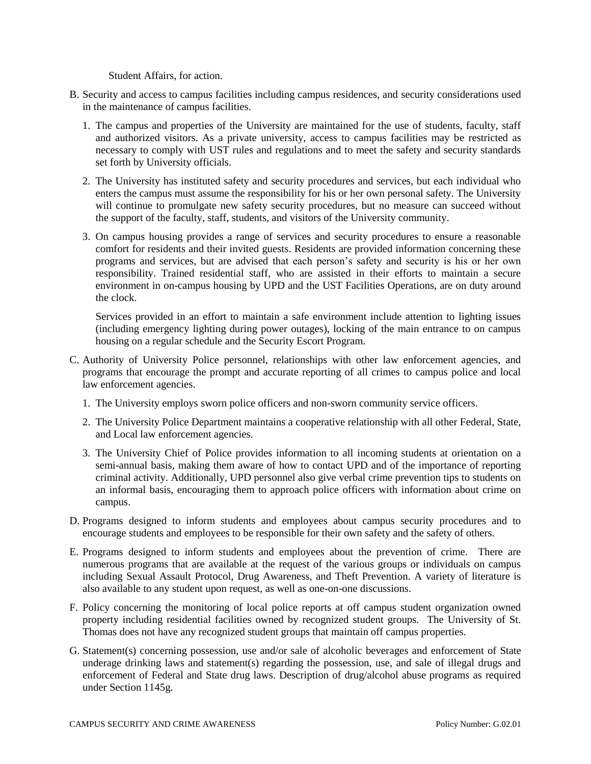Student Affairs, for action.

- B. Security and access to campus facilities including campus residences, and security considerations used in the maintenance of campus facilities.
	- 1. The campus and properties of the University are maintained for the use of students, faculty, staff and authorized visitors. As a private university, access to campus facilities may be restricted as necessary to comply with UST rules and regulations and to meet the safety and security standards set forth by University officials.
	- 2. The University has instituted safety and security procedures and services, but each individual who enters the campus must assume the responsibility for his or her own personal safety. The University will continue to promulgate new safety security procedures, but no measure can succeed without the support of the faculty, staff, students, and visitors of the University community.
	- 3. On campus housing provides a range of services and security procedures to ensure a reasonable comfort for residents and their invited guests. Residents are provided information concerning these programs and services, but are advised that each person's safety and security is his or her own responsibility. Trained residential staff, who are assisted in their efforts to maintain a secure environment in on-campus housing by UPD and the UST Facilities Operations, are on duty around the clock.

Services provided in an effort to maintain a safe environment include attention to lighting issues (including emergency lighting during power outages), locking of the main entrance to on campus housing on a regular schedule and the Security Escort Program.

- C. Authority of University Police personnel, relationships with other law enforcement agencies, and programs that encourage the prompt and accurate reporting of all crimes to campus police and local law enforcement agencies.
	- 1. The University employs sworn police officers and non-sworn community service officers.
	- 2. The University Police Department maintains a cooperative relationship with all other Federal, State, and Local law enforcement agencies.
	- 3. The University Chief of Police provides information to all incoming students at orientation on a semi-annual basis, making them aware of how to contact UPD and of the importance of reporting criminal activity. Additionally, UPD personnel also give verbal crime prevention tips to students on an informal basis, encouraging them to approach police officers with information about crime on campus.
- D. Programs designed to inform students and employees about campus security procedures and to encourage students and employees to be responsible for their own safety and the safety of others.
- E. Programs designed to inform students and employees about the prevention of crime. There are numerous programs that are available at the request of the various groups or individuals on campus including Sexual Assault Protocol, Drug Awareness, and Theft Prevention. A variety of literature is also available to any student upon request, as well as one-on-one discussions.
- F. Policy concerning the monitoring of local police reports at off campus student organization owned property including residential facilities owned by recognized student groups. The University of St. Thomas does not have any recognized student groups that maintain off campus properties.
- G. Statement(s) concerning possession, use and/or sale of alcoholic beverages and enforcement of State underage drinking laws and statement(s) regarding the possession, use, and sale of illegal drugs and enforcement of Federal and State drug laws. Description of drug/alcohol abuse programs as required under Section 1145g.